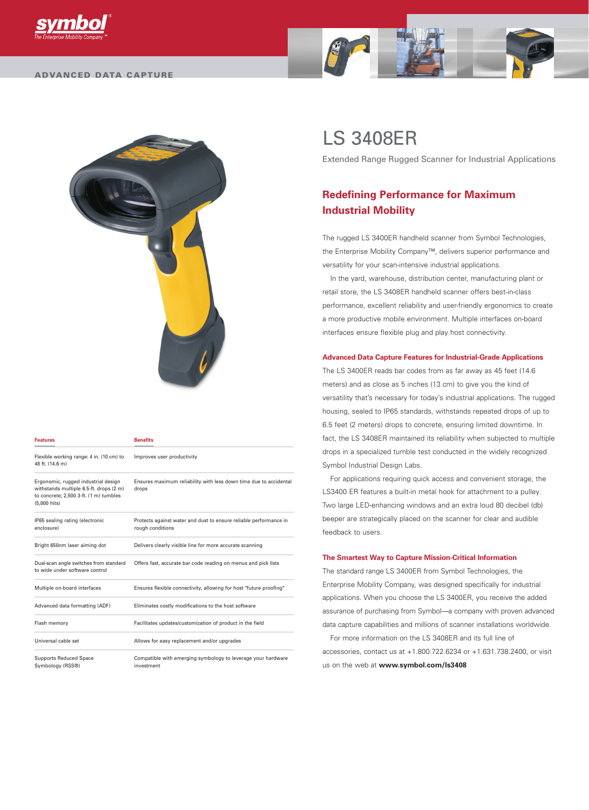



| <b>Features</b>                                                                                                                          | <b>Benefits</b>                                                                       |
|------------------------------------------------------------------------------------------------------------------------------------------|---------------------------------------------------------------------------------------|
| Flexible working range: 4 in. (10 cm) to<br>48 ft. (14.6 m)                                                                              | Improves user productivity                                                            |
| Ergonomic, rugged industrial design<br>withstands multiple 6.5-ft. drops (2 m)<br>to concrete; 2,500 3-ft. (1 m) tumbles<br>(5,000 hits) | Ensures maximum reliability with less down time due to accidental<br>drops            |
| IP65 sealing rating (electronic<br>enclosure)                                                                                            | Protects against water and dust to ensure reliable performance in<br>rough conditions |
| Bright 650nm laser aiming dot                                                                                                            | Delivers clearly visible line for more accurate scanning                              |
| Dual-scan angle switches from standard<br>to wide under software control                                                                 | Offers fast, accurate bar code reading on menus and pick lists                        |
| Multiple on-board interfaces                                                                                                             | Ensures flexible connectivity, allowing for host "future proofing"                    |
| Advanced data formatting (ADF)                                                                                                           | Eliminates costly modifications to the host software                                  |
| Flash memory                                                                                                                             | Facilitates updates/customization of product in the field                             |
| Universal cable set                                                                                                                      | Allows for easy replacement and/or upgrades                                           |
| <b>Supports Reduced Space</b><br>Symbology (RSS®)                                                                                        | Compatible with emerging symbology to leverage your hardware<br>investment            |

# LS 3408ER

Extended Range Rugged Scanner for Industrial Applications

# **Redefining Performance for Maximum Industrial Mobility**

The rugged LS 3400ER handheld scanner from Symbol Technologies, the Enterprise Mobility Company™, delivers superior performance and versatility for your scan-intensive industrial applications.

In the yard, warehouse, distribution center, manufacturing plant or retail store, the LS 3408ER handheld scanner offers best-in-class performance, excellent reliability and user-friendly ergonomics to create a more productive mobile environment. Multiple interfaces on-board interfaces ensure flexible plug and play host connectivity.

# **Advanced Data Capture Features for Industrial-Grade Applications**

The LS 3400ER reads bar codes from as far away as 45 feet (14.6 meters) and as close as 5 inches (13 cm) to give you the kind of versatility that's necessary for today's industrial applications. The rugged housing, sealed to IP65 standards, withstands repeated drops of up to 6.5 feet (2 meters) drops to concrete, ensuring limited downtime. In fact, the LS 3408ER maintained its reliability when subjected to multiple drops in a specialized tumble test conducted in the widely recognized Symbol Industrial Design Labs.

For applications requiring quick access and convenient storage, the LS3400 ER features a built-in metal hook for attachment to a pulley. Two large LED-enhancing windows and an extra loud 80 decibel (db) beeper are strategically placed on the scanner for clear and audible feedback to users.

# **The Smartest Way to Capture Mission-Critical Information**

The standard range LS 3400ER from Symbol Technologies, the Enterprise Mobility Company, was designed specifically for industrial applications. When you choose the LS 3400ER, you receive the added assurance of purchasing from Symbol—a company with proven advanced data capture capabilities and millions of scanner installations worldwide.

For more information on the LS 3408ER and its full line of accessories, contact us at +1.800.722.6234 or +1.631.738.2400, or visit us on the web at **www.symbol.com/ls3408**